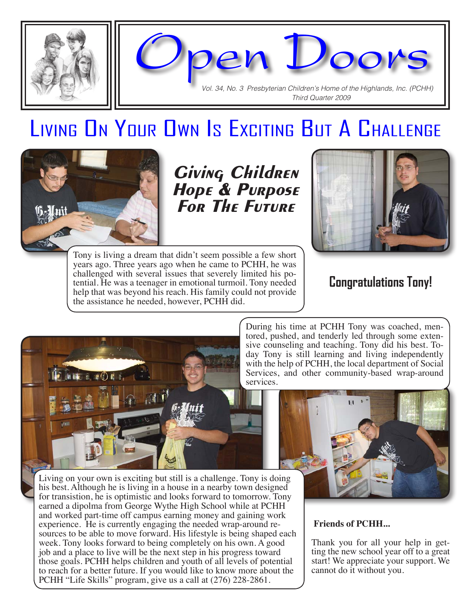

Open Doors Vol. 34, No. 3 Presbyterian Children's Home of the Highlands, Inc. (PCHH)

Third Quarter 2009

Living On Your Own Is Exciting But A Challenge



Giving Children Hope & Purpose For The Future



Tony is living a dream that didn't seem possible a few short years ago. Three years ago when he came to PCHH, he was challenged with several issues that severely limited his potential. He was a teenager in emotional turmoil. Tony needed help that was beyond his reach. His family could not provide the assistance he needed, however, PCHH did.

### **Congratulations Tony!**



During his time at PCHH Tony was coached, mentored, pushed, and tenderly led through some extensive counseling and teaching. Tony did his best. Today Tony is still learning and living independently with the help of PCHH, the local department of Social Services, and other community-based wrap-around services.



#### **Friends of PCHH...**

Thank you for all your help in getting the new school year off to a great start! We appreciate your support. We cannot do it without you.

Living on your own is exciting but still is a challenge. Tony is doing his best. Although he is living in a house in a nearby town designed for transistion, he is optimistic and looks forward to tomorrow. Tony earned a dipolma from George Wythe High School while at PCHH and worked part-time off campus earning money and gaining work experience. He is currently engaging the needed wrap-around resources to be able to move forward. His lifestyle is being shaped each week. Tony looks forward to being completely on his own. A good job and a place to live will be the next step in his progress toward those goals. PCHH helps children and youth of all levels of potential to reach for a better future. If you would like to know more about the PCHH "Life Skills" program, give us a call at (276) 228-2861.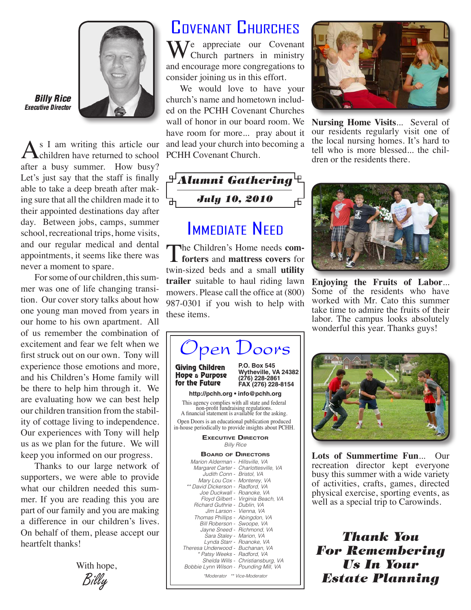

Billy Rice Executive Director

As I am writing this article our children have returned to school after a busy summer. How busy? Let's just say that the staff is finally able to take a deep breath after making sure that all the children made it to their appointed destinations day after day. Between jobs, camps, summer school, recreational trips, home visits, and our regular medical and dental appointments, it seems like there was never a moment to spare.

For some of our children, this summer was one of life changing transition. Our cover story talks about how one young man moved from years in our home to his own apartment. All of us remember the combination of excitement and fear we felt when we first struck out on our own. Tony will experience those emotions and more, and his Children's Home family will be there to help him through it. We are evaluating how we can best help our children transition from the stability of cottage living to independence. Our experiences with Tony will help us as we plan for the future. We will keep you informed on our progress.

Thanks to our large network of supporters, we were able to provide what our children needed this summer. If you are reading this you are part of our family and you are making a difference in our children's lives. On behalf of them, please accept our heartfelt thanks!

Billy With hope,

## Covenant Churches

 $\sum_{n=1}^{\infty}$  appreciate our Covenant Church partners in ministry and encourage more congregations to consider joining us in this effort.

We would love to have your church's name and hometown included on the PCHH Covenant Churches wall of honor in our board room. We have room for more... pray about it and lead your church into becoming a PCHH Covenant Church.

 ${}^{\boxplus}$ Alumni Gathering ${}^{\boxplus}$ July 10, 2010 击

### **IMMEDIATE NEED**

The Children's Home needs **comforters** and **mattress covers** for twin-sized beds and a small **utility trailer** suitable to haul riding lawn mowers. Please call the office at (800) 987-0301 if you wish to help with these items.





**Nursing Home Visits**... Several of our residents regularly visit one of the local nursing homes. It's hard to tell who is more blessed... the children or the residents there.



**Enjoying the Fruits of Labor**... Some of the residents who have worked with Mr. Cato this summer take time to admire the fruits of their labor. The campus looks absolutely wonderful this year. Thanks guys!



**Lots of Summertime Fun**... Our recreation director kept everyone busy this summer with a wide variety of activities, crafts, games, directed physical exercise, sporting events, as well as a special trip to Carowinds.

Thank You For Remembering Us In Your Estate Planning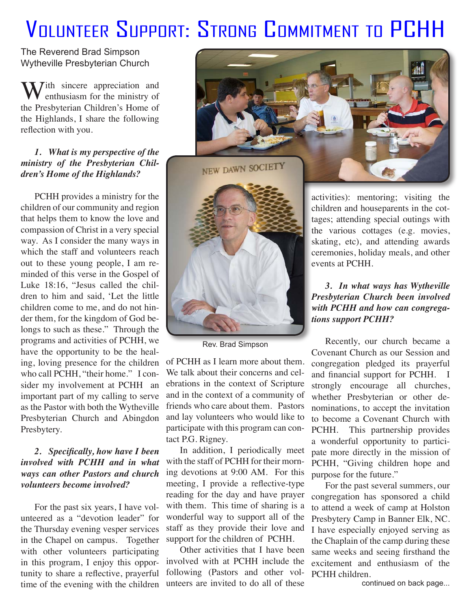# Volunteer Support: Strong Commitment to PCHH

The Reverend Brad Simpson Wytheville Presbyterian Church

**W** 7ith sincere appreciation and enthusiasm for the ministry of the Presbyterian Children's Home of the Highlands, I share the following reflection with you.

#### *1. What is my perspective of the ministry of the Presbyterian Children's Home of the Highlands?*

PCHH provides a ministry for the children of our community and region that helps them to know the love and compassion of Christ in a very special way. As I consider the many ways in which the staff and volunteers reach out to these young people, I am reminded of this verse in the Gospel of Luke 18:16, "Jesus called the children to him and said, 'Let the little children come to me, and do not hinder them, for the kingdom of God belongs to such as these." Through the programs and activities of PCHH, we have the opportunity to be the healing, loving presence for the children who call PCHH, "their home." I consider my involvement at PCHH an important part of my calling to serve as the Pastor with both the Wytheville Presbyterian Church and Abingdon Presbytery.

#### *2. Specifically, how have I been involved with PCHH and in what ways can other Pastors and church volunteers become involved?*

For the past six years, I have volunteered as a "devotion leader" for the Thursday evening vesper services in the Chapel on campus. Together with other volunteers participating in this program, I enjoy this opportunity to share a reflective, prayerful time of the evening with the children





Rev. Brad Simpson

of PCHH as I learn more about them. We talk about their concerns and celebrations in the context of Scripture and in the context of a community of friends who care about them. Pastors and lay volunteers who would like to participate with this program can contact P.G. Rigney.

In addition, I periodically meet with the staff of PCHH for their morning devotions at 9:00 AM. For this meeting, I provide a reflective-type reading for the day and have prayer with them. This time of sharing is a wonderful way to support all of the staff as they provide their love and support for the children of PCHH.

Other activities that I have been involved with at PCHH include the following (Pastors and other volunteers are invited to do all of these

activities): mentoring; visiting the children and houseparents in the cottages; attending special outings with the various cottages (e.g. movies, skating, etc), and attending awards ceremonies, holiday meals, and other events at PCHH.

#### *3. In what ways has Wytheville Presbyterian Church been involved with PCHH and how can congregations support PCHH?*

Recently, our church became a Covenant Church as our Session and congregation pledged its prayerful and financial support for PCHH. I strongly encourage all churches, whether Presbyterian or other denominations, to accept the invitation to become a Covenant Church with PCHH. This partnership provides a wonderful opportunity to participate more directly in the mission of PCHH, "Giving children hope and purpose for the future."

For the past several summers, our congregation has sponsored a child to attend a week of camp at Holston Presbytery Camp in Banner Elk, NC. I have especially enjoyed serving as the Chaplain of the camp during these same weeks and seeing firsthand the excitement and enthusiasm of the PCHH children.

continued on back page...